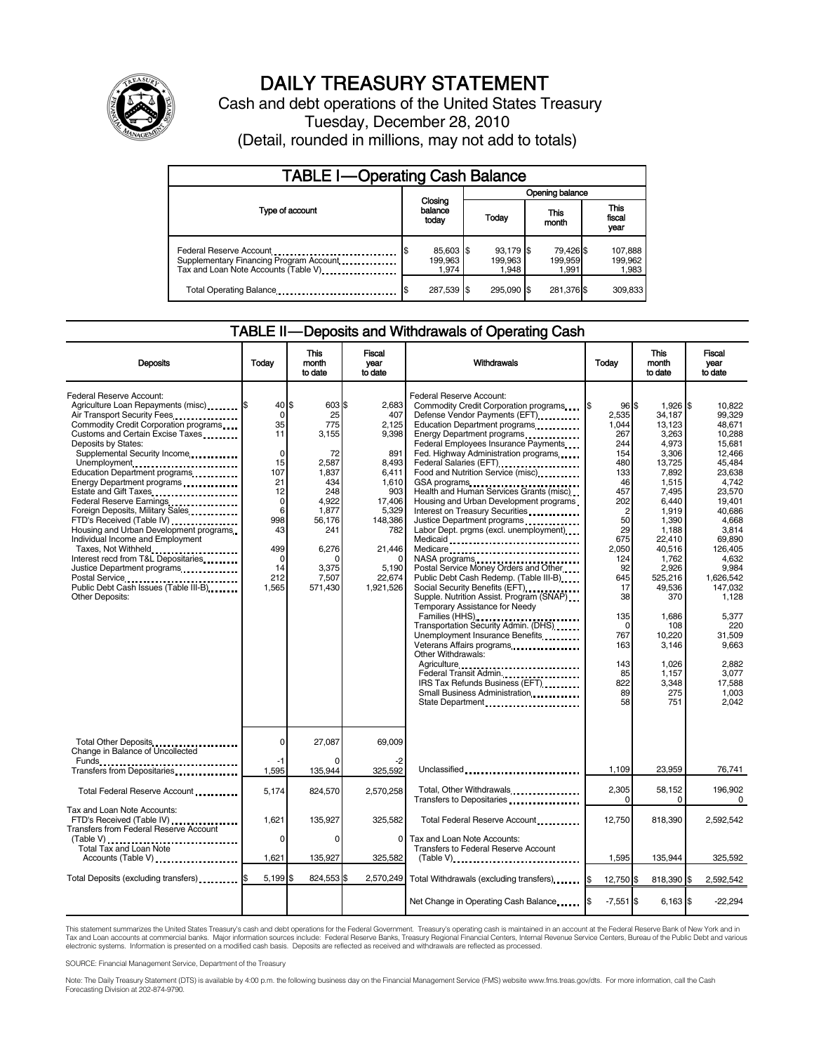

# DAILY TREASURY STATEMENT

Cash and debt operations of the United States Treasury Tuesday, December 28, 2010 (Detail, rounded in millions, may not add to totals)

| <b>TABLE I-Operating Cash Balance</b>                                                                      |                                     |                               |                               |                             |  |  |
|------------------------------------------------------------------------------------------------------------|-------------------------------------|-------------------------------|-------------------------------|-----------------------------|--|--|
|                                                                                                            |                                     |                               | Opening balance               |                             |  |  |
| Type of account                                                                                            | Closing<br>balance<br>today         | Today                         | This<br>month                 | This<br>fiscal<br>year      |  |  |
| Federal Reserve Account<br>Supplementary Financing Program Account<br>Tax and Loan Note Accounts (Table V) | \$<br>85,603 \$<br>199,963<br>1.974 | 93,179 \$<br>199,963<br>1.948 | 79,426 \$<br>199,959<br>1.991 | 107,888<br>199,962<br>1,983 |  |  |
| Total Operating Balance                                                                                    | 287,539 \$                          | 295.090 \$                    | 281,376 \$                    | 309,833                     |  |  |

# TABLE II — Deposits and Withdrawals of Operating Cash

| <b>Deposits</b>                                                                                                                                                                                                                                                                                                                                                                                                                                                                                                                                                                                                                                                                  | Todav                                                                                                                                    | This<br>month<br>to date                                                                                                                    | Fiscal<br>year<br>to date                                                                                                                              | Withdrawals                                                                                                                                                                                                                                                                                                                                                                                                                                                                                                                                                                                                                                                                                                                                                                                                                                                                                                                                                                                                                                               | Todav                                                                                                                                                                                                                         | <b>This</b><br>month<br>to date                                                                                                                                                                                                                                                  | Fiscal<br>vear<br>to date                                                                                                                                                                                                                                                                      |
|----------------------------------------------------------------------------------------------------------------------------------------------------------------------------------------------------------------------------------------------------------------------------------------------------------------------------------------------------------------------------------------------------------------------------------------------------------------------------------------------------------------------------------------------------------------------------------------------------------------------------------------------------------------------------------|------------------------------------------------------------------------------------------------------------------------------------------|---------------------------------------------------------------------------------------------------------------------------------------------|--------------------------------------------------------------------------------------------------------------------------------------------------------|-----------------------------------------------------------------------------------------------------------------------------------------------------------------------------------------------------------------------------------------------------------------------------------------------------------------------------------------------------------------------------------------------------------------------------------------------------------------------------------------------------------------------------------------------------------------------------------------------------------------------------------------------------------------------------------------------------------------------------------------------------------------------------------------------------------------------------------------------------------------------------------------------------------------------------------------------------------------------------------------------------------------------------------------------------------|-------------------------------------------------------------------------------------------------------------------------------------------------------------------------------------------------------------------------------|----------------------------------------------------------------------------------------------------------------------------------------------------------------------------------------------------------------------------------------------------------------------------------|------------------------------------------------------------------------------------------------------------------------------------------------------------------------------------------------------------------------------------------------------------------------------------------------|
| Federal Reserve Account:<br>Agriculture Loan Repayments (misc) \$<br>Air Transport Security Fees<br>Commodity Credit Corporation programs<br>Customs and Certain Excise Taxes<br>Deposits by States:<br>Supplemental Security Income<br>Unemployment<br>Education Department programs<br>Energy Department programs<br>Federal Reserve Earnings<br>Foreign Deposits, Military Sales<br>FTD's Received (Table IV)<br>Housing and Urban Development programs<br>Individual Income and Employment<br>Taxes, Not Withheld<br>Interest recd from T&L Depositaries<br>Justice Department programs<br>Postal Service<br>Public Debt Cash Issues (Table III-B)<br><b>Other Deposits:</b> | 40 \$<br>$\mathbf 0$<br>35<br>11<br>$\mathbf 0$<br>15<br>107<br>21<br>12<br>0<br>6<br>998<br>43<br>499<br>$\Omega$<br>14<br>212<br>1,565 | 603 \$<br>25<br>775<br>3,155<br>72<br>2,587<br>1,837<br>434<br>248<br>4,922<br>1,877<br>56,176<br>241<br>6,276<br>3,375<br>7,507<br>571,430 | 2,683<br>407<br>2,125<br>9,398<br>891<br>8,493<br>6,411<br>1,610<br>903<br>17,406<br>5,329<br>148,386<br>782<br>21,446<br>5,190<br>22.674<br>1,921,526 | Federal Reserve Account:<br>Commodity Credit Corporation programs<br>Defense Vendor Payments (EFT)<br>Education Department programs<br>Energy Department programs<br>Federal Employees Insurance Payments<br>Fed. Highway Administration programs<br>Federal Salaries (EFT)<br>Federal Salaries (EFT)<br>Food and Nutrition Service (misc)<br>GSA programs<br>Health and Human Services Grants (misc)<br>Housing and Urban Development programs<br>Interest on Treasury Securities<br>Justice Department programs<br>Labor Dept. prgms (excl. unemployment)<br>Medicaid<br>Medicare<br>NASA programs<br>Postal Service Money Orders and Other<br>Public Debt Cash Redemp. (Table III-B)<br>Supple. Nutrition Assist. Program (SNAP)<br>Temporary Assistance for Needy<br>Families (HHS)<br>Transportation Security Admin. (DHS)<br>Unemployment Insurance Benefits<br>Veterans Affairs programs<br><br>Other Withdrawals:<br>Agriculture<br>Federal Transit Admin.<br>IRS Tax Refunds Business (EFT)<br>Small Business Administration<br>State Department | 96 \$<br>2.535<br>1,044<br>267<br>244<br>154<br>480<br>133<br>46<br>457<br>202<br>$\overline{2}$<br>50<br>29<br>675<br>2.050<br>124<br>92<br>645<br>17<br>38<br>135<br>$\Omega$<br>767<br>163<br>143<br>85<br>822<br>89<br>58 | $1,926$ \$<br>34.187<br>13,123<br>3,263<br>4,973<br>3.306<br>13,725<br>7,892<br>1,515<br>7,495<br>6,440<br>1,919<br>1,390<br>1,188<br>22,410<br>40,516<br>1,762<br>2,926<br>525,216<br>49,536<br>370<br>1,686<br>108<br>10.220<br>3,146<br>1,026<br>1,157<br>3,348<br>275<br>751 | 10.822<br>99.329<br>48,671<br>10,288<br>15,681<br>12.466<br>45,484<br>23,638<br>4.742<br>23,570<br>19,401<br>40.686<br>4.668<br>3,814<br>69,890<br>126.405<br>4.632<br>9,984<br>1,626,542<br>147,032<br>1.128<br>5,377<br>220<br>31.509<br>9,663<br>2.882<br>3,077<br>17,588<br>1.003<br>2.042 |
| Total Other Deposits<br>Change in Balance of Uncollected                                                                                                                                                                                                                                                                                                                                                                                                                                                                                                                                                                                                                         | $\Omega$                                                                                                                                 | 27.087                                                                                                                                      | 69.009                                                                                                                                                 |                                                                                                                                                                                                                                                                                                                                                                                                                                                                                                                                                                                                                                                                                                                                                                                                                                                                                                                                                                                                                                                           |                                                                                                                                                                                                                               |                                                                                                                                                                                                                                                                                  |                                                                                                                                                                                                                                                                                                |
| Funds<br>Transfers from Depositaries                                                                                                                                                                                                                                                                                                                                                                                                                                                                                                                                                                                                                                             | -1<br>1,595                                                                                                                              | 135,944                                                                                                                                     | 325,592                                                                                                                                                | Unclassified                                                                                                                                                                                                                                                                                                                                                                                                                                                                                                                                                                                                                                                                                                                                                                                                                                                                                                                                                                                                                                              | 1.109                                                                                                                                                                                                                         | 23.959                                                                                                                                                                                                                                                                           | 76,741                                                                                                                                                                                                                                                                                         |
| Total Federal Reserve Account                                                                                                                                                                                                                                                                                                                                                                                                                                                                                                                                                                                                                                                    | 5,174                                                                                                                                    | 824,570                                                                                                                                     | 2,570,258                                                                                                                                              | Total, Other Withdrawals<br>Transfers to Depositaries                                                                                                                                                                                                                                                                                                                                                                                                                                                                                                                                                                                                                                                                                                                                                                                                                                                                                                                                                                                                     | 2,305<br>$\Omega$                                                                                                                                                                                                             | 58,152<br>0                                                                                                                                                                                                                                                                      | 196,902<br>0                                                                                                                                                                                                                                                                                   |
| Tax and Loan Note Accounts:<br>FTD's Received (Table IV)<br>Transfers from Federal Reserve Account                                                                                                                                                                                                                                                                                                                                                                                                                                                                                                                                                                               | 1.621                                                                                                                                    | 135,927                                                                                                                                     | 325,582                                                                                                                                                | Total Federal Reserve Account                                                                                                                                                                                                                                                                                                                                                                                                                                                                                                                                                                                                                                                                                                                                                                                                                                                                                                                                                                                                                             | 12,750                                                                                                                                                                                                                        | 818,390                                                                                                                                                                                                                                                                          | 2,592,542                                                                                                                                                                                                                                                                                      |
| (Table V)<br>Total Tax and Loan Note<br>Accounts (Table V)                                                                                                                                                                                                                                                                                                                                                                                                                                                                                                                                                                                                                       | $\Omega$<br>1,621                                                                                                                        | $\Omega$<br>135,927                                                                                                                         | $\Omega$<br>325,582                                                                                                                                    | Tax and Loan Note Accounts:<br>Transfers to Federal Reserve Account<br>$(Table V)$                                                                                                                                                                                                                                                                                                                                                                                                                                                                                                                                                                                                                                                                                                                                                                                                                                                                                                                                                                        | 1,595                                                                                                                                                                                                                         | 135,944                                                                                                                                                                                                                                                                          | 325,592                                                                                                                                                                                                                                                                                        |
| Total Deposits (excluding transfers) [1000]                                                                                                                                                                                                                                                                                                                                                                                                                                                                                                                                                                                                                                      | 5,199                                                                                                                                    | 824,553                                                                                                                                     | 2,570,249                                                                                                                                              | Total Withdrawals (excluding transfers)                                                                                                                                                                                                                                                                                                                                                                                                                                                                                                                                                                                                                                                                                                                                                                                                                                                                                                                                                                                                                   | 12,750 \$<br>I\$                                                                                                                                                                                                              | 818,390 \$                                                                                                                                                                                                                                                                       | 2,592,542                                                                                                                                                                                                                                                                                      |
|                                                                                                                                                                                                                                                                                                                                                                                                                                                                                                                                                                                                                                                                                  |                                                                                                                                          |                                                                                                                                             |                                                                                                                                                        | Net Change in Operating Cash Balance                                                                                                                                                                                                                                                                                                                                                                                                                                                                                                                                                                                                                                                                                                                                                                                                                                                                                                                                                                                                                      | $-7,551$ \$                                                                                                                                                                                                                   | $6,163$ \$                                                                                                                                                                                                                                                                       | $-22,294$                                                                                                                                                                                                                                                                                      |

This statement summarizes the United States Treasury's cash and debt operations for the Federal Government. Treasury's operating cash is maintained in an account at the Federal Reserve Bank of New York and in<br>Tax and Loan electronic systems. Information is presented on a modified cash basis. Deposits are reflected as received and withdrawals are reflected as processed.

SOURCE: Financial Management Service, Department of the Treasury

Note: The Daily Treasury Statement (DTS) is available by 4:00 p.m. the following business day on the Financial Management Service (FMS) website www.fms.treas.gov/dts. For more information, call the Cash Forecasting Division at 202-874-9790.